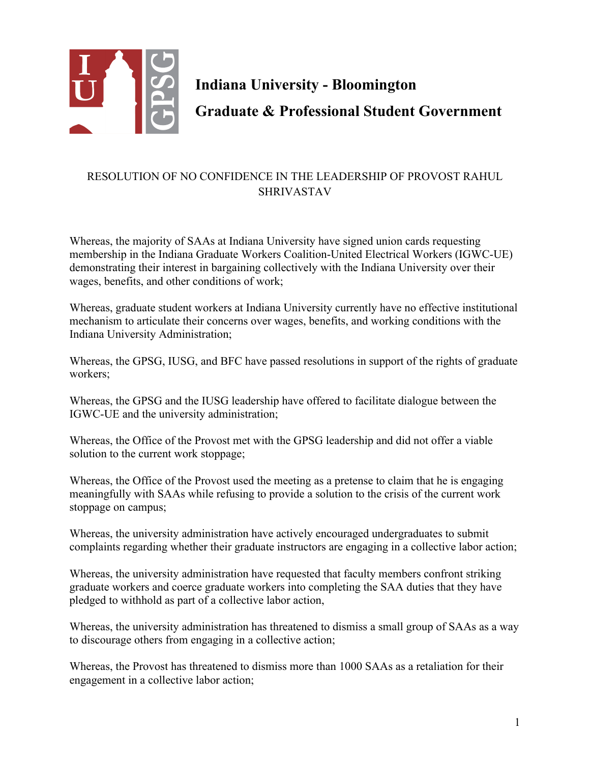

**Indiana University - Bloomington Graduate & Professional Student Government**

## RESOLUTION OF NO CONFIDENCE IN THE LEADERSHIP OF PROVOST RAHUL SHRIVASTAV

Whereas, the majority of SAAs at Indiana University have signed union cards requesting membership in the Indiana Graduate Workers Coalition-United Electrical Workers (IGWC-UE) demonstrating their interest in bargaining collectively with the Indiana University over their wages, benefits, and other conditions of work;

Whereas, graduate student workers at Indiana University currently have no effective institutional mechanism to articulate their concerns over wages, benefits, and working conditions with the Indiana University Administration;

Whereas, the GPSG, IUSG, and BFC have passed resolutions in support of the rights of graduate workers;

Whereas, the GPSG and the IUSG leadership have offered to facilitate dialogue between the IGWC-UE and the university administration;

Whereas, the Office of the Provost met with the GPSG leadership and did not offer a viable solution to the current work stoppage;

Whereas, the Office of the Provost used the meeting as a pretense to claim that he is engaging meaningfully with SAAs while refusing to provide a solution to the crisis of the current work stoppage on campus;

Whereas, the university administration have actively encouraged undergraduates to submit complaints regarding whether their graduate instructors are engaging in a collective labor action;

Whereas, the university administration have requested that faculty members confront striking graduate workers and coerce graduate workers into completing the SAA duties that they have pledged to withhold as part of a collective labor action,

Whereas, the university administration has threatened to dismiss a small group of SAAs as a way to discourage others from engaging in a collective action;

Whereas, the Provost has threatened to dismiss more than 1000 SAAs as a retaliation for their engagement in a collective labor action;